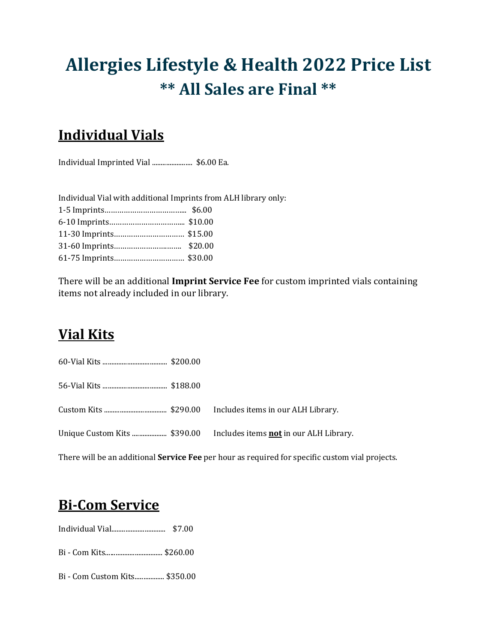# **Allergies Lifestyle & Health 2022 Price List \*\* All Sales are Final \*\***

# **Individual Vials**

Individual Imprinted Vial ....................... \$6.00 Ea.

| Individual Vial with additional Imprints from ALH library only: |  |
|-----------------------------------------------------------------|--|
|                                                                 |  |
|                                                                 |  |
|                                                                 |  |
|                                                                 |  |
|                                                                 |  |

There will be an additional **Imprint Service Fee** for custom imprinted vials containing items not already included in our library.

# **Vial Kits**

60-Vial Kits ..................................... \$200.00

56-Vial Kits ..................................... \$188.00

Custom Kits .................................... \$290.00 Includes items in our ALH Library.

Unique Custom Kits .................... \$390.00 Includes items **not** in our ALH Library.

There will be an additional **Service Fee** per hour as required for specific custom vial projects.

# **Bi-Com Service**

Individual Vial............................... \$7.00

Bi - Com Kits................................. \$260.00

Bi - Com Custom Kits................. \$350.00